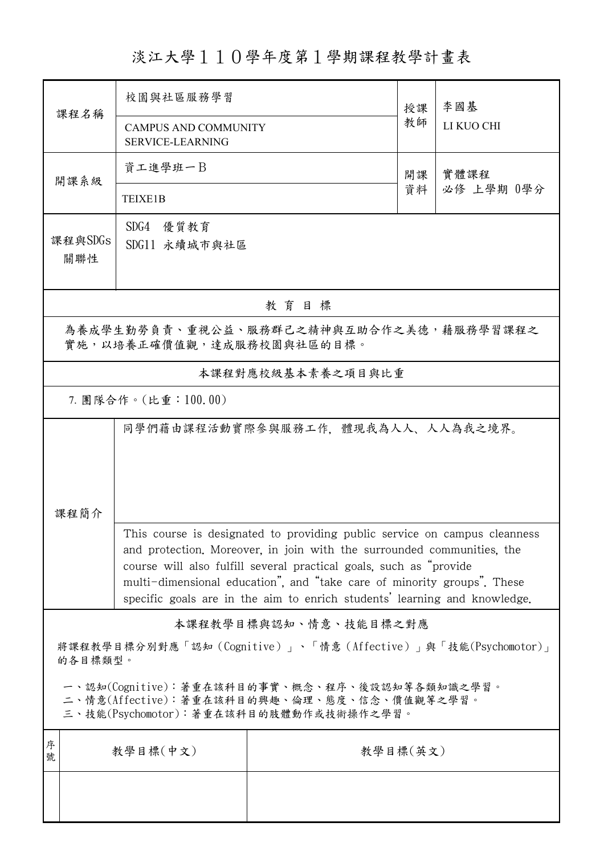## 淡江大學110學年度第1學期課程教學計畫表

| 課程名稱                                                                                                                                   | 校園與社區服務學習                                                                                                                                                                                                                                                                                                                                                                          |                                   | 授課 | 李國基                |  |  |
|----------------------------------------------------------------------------------------------------------------------------------------|------------------------------------------------------------------------------------------------------------------------------------------------------------------------------------------------------------------------------------------------------------------------------------------------------------------------------------------------------------------------------------|-----------------------------------|----|--------------------|--|--|
|                                                                                                                                        | <b>CAMPUS AND COMMUNITY</b><br><b>SERVICE-LEARNING</b>                                                                                                                                                                                                                                                                                                                             |                                   | 教師 | LI KUO CHI         |  |  |
| 開課系級                                                                                                                                   | 資工進學班一B                                                                                                                                                                                                                                                                                                                                                                            |                                   | 開課 | 實體課程<br>必修 上學期 0學分 |  |  |
|                                                                                                                                        | TEIXE1B                                                                                                                                                                                                                                                                                                                                                                            |                                   | 資料 |                    |  |  |
| 課程與SDGs<br>關聯性                                                                                                                         | SDG4 優質教育<br>SDG11 永續城市與社區                                                                                                                                                                                                                                                                                                                                                         |                                   |    |                    |  |  |
| 教育目標                                                                                                                                   |                                                                                                                                                                                                                                                                                                                                                                                    |                                   |    |                    |  |  |
| 為養成學生勤勞負責、重視公益、服務群己之精神與互助合作之美德,藉服務學習課程之<br>實施,以培養正確價值觀,達成服務校園與社區的目標。                                                                   |                                                                                                                                                                                                                                                                                                                                                                                    |                                   |    |                    |  |  |
|                                                                                                                                        |                                                                                                                                                                                                                                                                                                                                                                                    | 本課程對應校級基本素養之項目與比重                 |    |                    |  |  |
| 7. 團隊合作。(比重:100.00)                                                                                                                    |                                                                                                                                                                                                                                                                                                                                                                                    |                                   |    |                    |  |  |
| 課程簡介                                                                                                                                   |                                                                                                                                                                                                                                                                                                                                                                                    | 同學們藉由課程活動實際參與服務工作,體現我為人人、人人為我之境界。 |    |                    |  |  |
|                                                                                                                                        | This course is designated to providing public service on campus cleanness<br>and protection. Moreover, in join with the surrounded communities, the<br>course will also fulfill several practical goals, such as "provide"<br>multi-dimensional education", and "take care of minority groups". These<br>specific goals are in the aim to enrich students' learning and knowledge. |                                   |    |                    |  |  |
|                                                                                                                                        |                                                                                                                                                                                                                                                                                                                                                                                    | 本課程教學目標與認知、情意、技能目標之對應             |    |                    |  |  |
| 將課程教學目標分別對應「認知(Cognitive)」、「情意(Affective)」與「技能(Psychomotor)」<br>的各目標類型。                                                                |                                                                                                                                                                                                                                                                                                                                                                                    |                                   |    |                    |  |  |
| 一、認知(Cognitive):著重在該科目的事實、概念、程序、後設認知等各類知識之學習。<br>二、情意(Affective):著重在該科目的興趣、倫理、態度、信念、價值觀等之學習。<br>三、技能(Psychomotor):著重在該科目的肢體動作或技術操作之學習。 |                                                                                                                                                                                                                                                                                                                                                                                    |                                   |    |                    |  |  |
| 序<br>號                                                                                                                                 | 教學目標(中文)                                                                                                                                                                                                                                                                                                                                                                           | 教學目標(英文)                          |    |                    |  |  |
|                                                                                                                                        |                                                                                                                                                                                                                                                                                                                                                                                    |                                   |    |                    |  |  |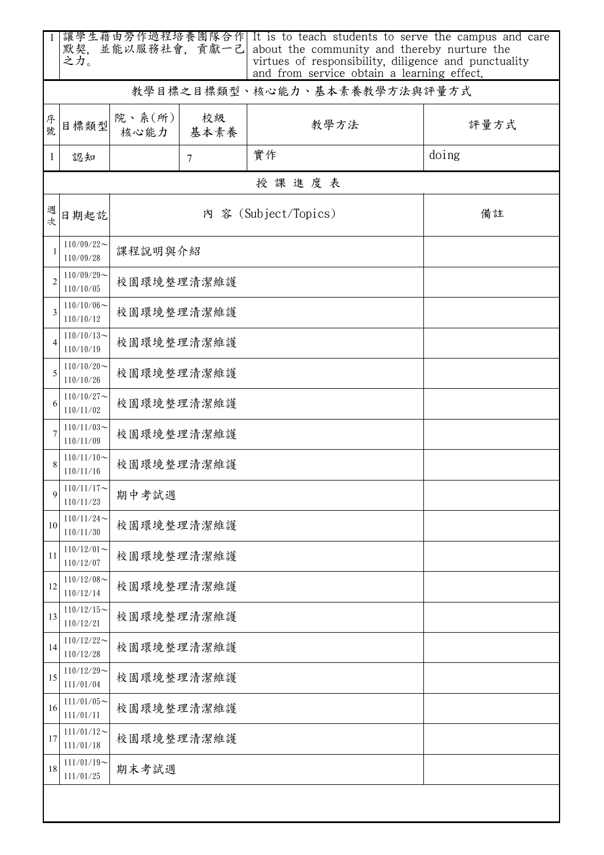|                | 默契, 並能以服務社會, 貢獻一己<br>之力。      |                |            | 讓學生藉由勞作過程培養團隊合作  It is to teach students to serve the campus and care<br>about the community and thereby nurture the<br>virtues of responsibility, diligence and punctuality<br>and from service obtain a learning effect. |       |  |  |
|----------------|-------------------------------|----------------|------------|----------------------------------------------------------------------------------------------------------------------------------------------------------------------------------------------------------------------------|-------|--|--|
|                |                               |                |            | 教學目標之目標類型、核心能力、基本素養教學方法與評量方式                                                                                                                                                                                               |       |  |  |
| 序號             | 目標類型                          | 院、系(所)<br>核心能力 | 校級<br>基本素養 | 教學方法                                                                                                                                                                                                                       | 評量方式  |  |  |
| 1              | 認知                            |                | $\tau$     | 實作                                                                                                                                                                                                                         | doing |  |  |
|                | 授課進度表                         |                |            |                                                                                                                                                                                                                            |       |  |  |
| 週<br>次         | 日期起訖                          |                |            | 內 容 (Subject/Topics)                                                                                                                                                                                                       | 備註    |  |  |
|                | $110/09/22$ ~<br>110/09/28    | 课程說明與介紹        |            |                                                                                                                                                                                                                            |       |  |  |
| $\overline{2}$ | $110/09/29$ ~<br>110/10/05    |                | 校園環境整理清潔維護 |                                                                                                                                                                                                                            |       |  |  |
| 3              | $110/10/06 \sim$<br>110/10/12 |                | 校園環境整理清潔維護 |                                                                                                                                                                                                                            |       |  |  |
|                | $110/10/13$ ~<br>110/10/19    | 校園環境整理清潔維護     |            |                                                                                                                                                                                                                            |       |  |  |
| 5              | $110/10/20$ ~<br>110/10/26    | 校園環境整理清潔維護     |            |                                                                                                                                                                                                                            |       |  |  |
| 6              | $110/10/27$ ~<br>110/11/02    | 校園環境整理清潔維護     |            |                                                                                                                                                                                                                            |       |  |  |
|                | $110/11/03$ ~<br>110/11/09    | 校園環境整理清潔維護     |            |                                                                                                                                                                                                                            |       |  |  |
|                | $110/11/10$ ~<br>110/11/16    | 校園環境整理清潔維護     |            |                                                                                                                                                                                                                            |       |  |  |
| 9              | $110/11/17$ ~<br>110/11/23    | 期中考試週          |            |                                                                                                                                                                                                                            |       |  |  |
| 10             | $110/11/24$ ~<br>110/11/30    | 校園環境整理清潔維護     |            |                                                                                                                                                                                                                            |       |  |  |
| 11             | $110/12/01$ ~<br>110/12/07    |                | 校園環境整理清潔維護 |                                                                                                                                                                                                                            |       |  |  |
| 12             | $110/12/08$ ~<br>110/12/14    | 校園環境整理清潔維護     |            |                                                                                                                                                                                                                            |       |  |  |
| 13             | $110/12/15$ ~<br>110/12/21    |                | 校園環境整理清潔維護 |                                                                                                                                                                                                                            |       |  |  |
| 14             | $110/12/22$ ~<br>110/12/28    |                | 校園環境整理清潔維護 |                                                                                                                                                                                                                            |       |  |  |
| 15             | $110/12/29$ ~<br>111/01/04    |                | 校園環境整理清潔維護 |                                                                                                                                                                                                                            |       |  |  |
| 16             | $111/01/05$ ~<br>111/01/11    |                | 校園環境整理清潔維護 |                                                                                                                                                                                                                            |       |  |  |
| 17             | $111/01/12$ ~<br>111/01/18    |                | 校園環境整理清潔維護 |                                                                                                                                                                                                                            |       |  |  |
| 18             | $111/01/19$ ~<br>111/01/25    | 期末考試週          |            |                                                                                                                                                                                                                            |       |  |  |
|                |                               |                |            |                                                                                                                                                                                                                            |       |  |  |